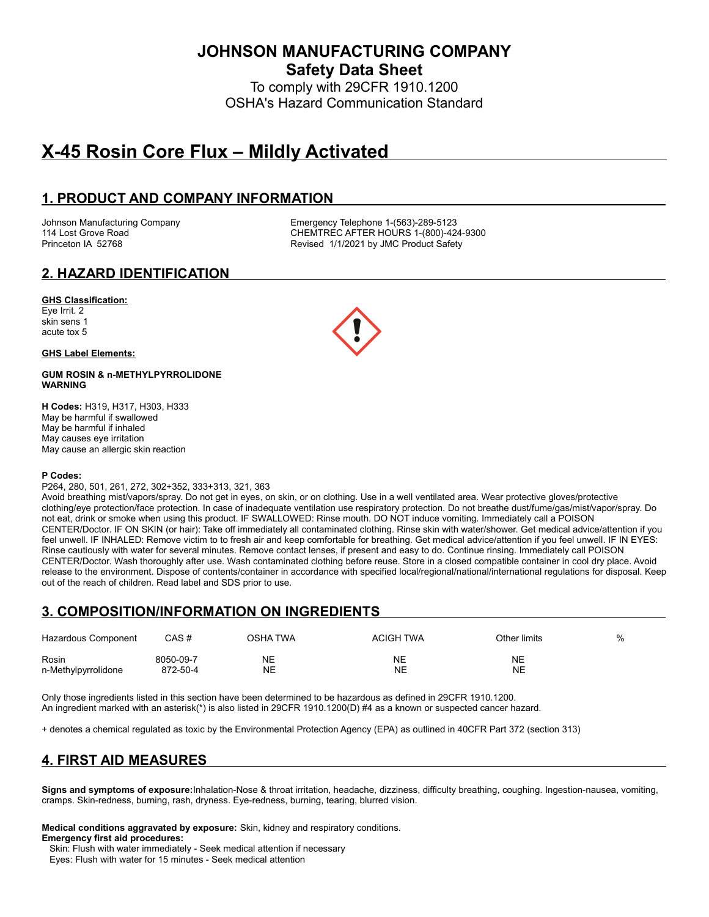**JOHNSON MANUFACTURING COMPANY**

**Safety Data Sheet**

To comply with 29CFR 1910.1200 OSHA's Hazard Communication Standard

# **X-45 Rosin Core Flux – Mildly Activated**

# **1. PRODUCT AND COMPANY INFORMATION**

Johnson Manufacturing Company **Emergency Telephone 1-(563)-289-5123**<br>114 Lost Grove Road **CHEMTREC AFTER HOURS 1-(800)-42** CHEMTREC AFTER HOURS 1-(800)-424-9300 Princeton IA 52768 **Revised 1/1/2021 by JMC Product Safety** 

# **2. HAZARD IDENTIFICATION**

#### **GHS Classification:**

Eye Irrit. 2 skin sens 1 acute tox 5

#### **GHS Label Elements:**

#### **GUM ROSIN & n-METHYLPYRROLIDONE WARNING**

**H Codes:** H319, H317, H303, H333 May be harmful if swallowed May be harmful if inhaled May causes eye irritation May cause an allergic skin reaction

#### **P Codes:**

P264, 280, 501, 261, 272, 302+352, 333+313, 321, 363

Avoid breathing mist/vapors/spray. Do not get in eyes, on skin, or on clothing. Use in a well ventilated area. Wear protective gloves/protective clothing/eye protection/face protection. In case of inadequate ventilation use respiratory protection. Do not breathe dust/fume/gas/mist/vapor/spray. Do not eat, drink or smoke when using this product. IF SWALLOWED: Rinse mouth. DO NOT induce vomiting. Immediately call a POISON CENTER/Doctor. IF ON SKIN (or hair): Take off immediately all contaminated clothing. Rinse skin with water/shower. Get medical advice/attention if you feel unwell. IF INHALED: Remove victim to to fresh air and keep comfortable for breathing. Get medical advice/attention if you feel unwell. IF IN EYES: Rinse cautiously with water for several minutes. Remove contact lenses, if present and easy to do. Continue rinsing. Immediately call POISON CENTER/Doctor. Wash thoroughly after use. Wash contaminated clothing before reuse. Store in a closed compatible container in cool dry place. Avoid release to the environment. Dispose of contents/container in accordance with specified local/regional/national/international regulations for disposal. Keep out of the reach of children. Read label and SDS prior to use.

# **3. COMPOSITION/INFORMATION ON INGREDIENTS**

| Hazardous Component | CAS#      | OSHA TWA  | <b>ACIGH TWA</b> | Other limits | % |
|---------------------|-----------|-----------|------------------|--------------|---|
| Rosin               | 8050-09-7 | NE        | <b>NE</b>        | <b>NE</b>    |   |
| n-Methylpyrrolidone | 872-50-4  | <b>NE</b> | NE               | NE           |   |

Only those ingredients listed in this section have been determined to be hazardous as defined in 29CFR 1910.1200. An ingredient marked with an asterisk(\*) is also listed in 29CFR 1910.1200(D) #4 as a known or suspected cancer hazard.

+ denotes a chemical regulated as toxic by the Environmental Protection Agency (EPA) as outlined in 40CFR Part 372 (section 313)

# **4. FIRST AID MEASURES**

**Signs and symptoms of exposure:**Inhalation-Nose & throat irritation, headache, dizziness, difficulty breathing, coughing. Ingestion-nausea, vomiting, cramps. Skin-redness, burning, rash, dryness. Eye-redness, burning, tearing, blurred vision.

#### **Medical conditions aggravated by exposure:** Skin, kidney and respiratory conditions. **Emergency first aid procedures:**

 Skin: Flush with water immediately - Seek medical attention if necessary Eyes: Flush with water for 15 minutes - Seek medical attention

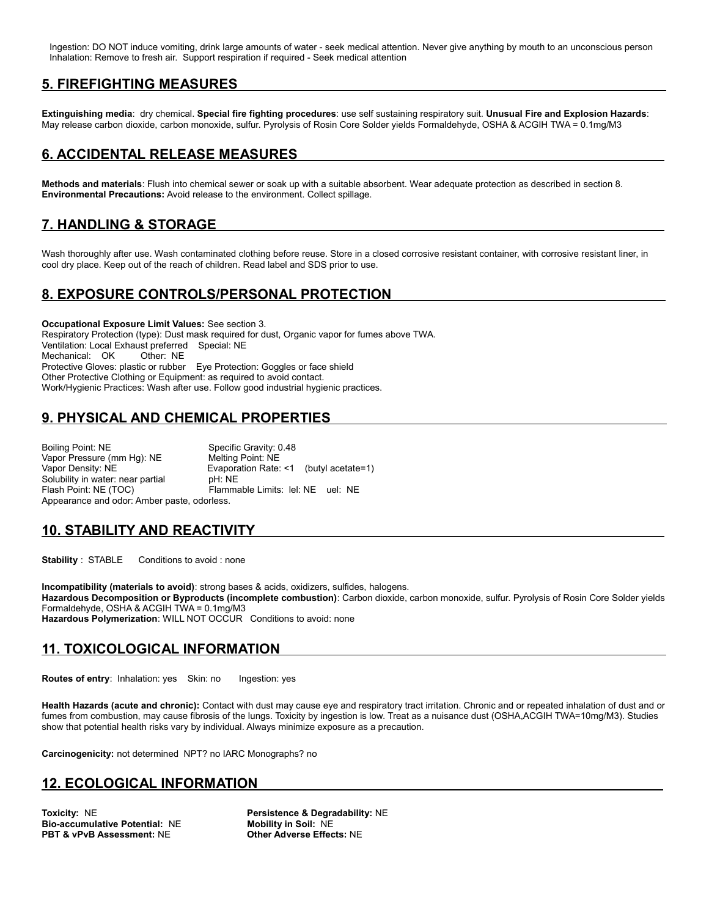Ingestion: DO NOT induce vomiting, drink large amounts of water - seek medical attention. Never give anything by mouth to an unconscious person Inhalation: Remove to fresh air. Support respiration if required - Seek medical attention

### **5. FIREFIGHTING MEASURES**

**Extinguishing media**: dry chemical. **Special fire fighting procedures**: use self sustaining respiratory suit. **Unusual Fire and Explosion Hazards**: May release carbon dioxide, carbon monoxide, sulfur. Pyrolysis of Rosin Core Solder yields Formaldehyde, OSHA & ACGIH TWA = 0.1mg/M3

### **6. ACCIDENTAL RELEASE MEASURES**

**Methods and materials**: Flush into chemical sewer or soak up with a suitable absorbent. Wear adequate protection as described in section 8. **Environmental Precautions:** Avoid release to the environment. Collect spillage.

# **7. HANDLING & STORAGE**

Wash thoroughly after use. Wash contaminated clothing before reuse. Store in a closed corrosive resistant container, with corrosive resistant liner, in cool dry place. Keep out of the reach of children. Read label and SDS prior to use.

### **8. EXPOSURE CONTROLS/PERSONAL PROTECTION**

**Occupational Exposure Limit Values:** See section 3. Respiratory Protection (type): Dust mask required for dust, Organic vapor for fumes above TWA. Ventilation: Local Exhaust preferred Special: NE Mechanical: OK Other: NE Protective Gloves: plastic or rubber Eye Protection: Goggles or face shield Other Protective Clothing or Equipment: as required to avoid contact. Work/Hygienic Practices: Wash after use. Follow good industrial hygienic practices.

# **9. PHYSICAL AND CHEMICAL PROPERTIES**

Boiling Point: NE Specific Gravity: 0.48 Vapor Pressure (mm Hg): NE Melting Point: NE<br>Vapor Density: NE Mexico Evaporation Rate: Evaporation Rate: <1 (butyl acetate=1)<br>pH: NE Solubility in water: near partial<br>Flash Point: NE (TOC) Flammable Limits: lel: NE uel: NE Appearance and odor: Amber paste, odorless.

# **10. STABILITY AND REACTIVITY**

**Stability** : STABLE Conditions to avoid : none

**Incompatibility (materials to avoid)**: strong bases & acids, oxidizers, sulfides, halogens. Hazardous Decomposition or Byproducts (incomplete combustion): Carbon dioxide, carbon monoxide, sulfur. Pyrolysis of Rosin Core Solder yields Formaldehyde, OSHA & ACGIH TWA = 0.1mg/M3 **Hazardous Polymerization**: WILL NOT OCCUR Conditions to avoid: none

# **11. TOXICOLOGICAL INFORMATION**

**Routes of entry:** Inhalation: yes Skin: no Ingestion: yes

**Health Hazards (acute and chronic):** Contact with dust may cause eye and respiratory tract irritation. Chronic and or repeated inhalation of dust and or fumes from combustion, may cause fibrosis of the lungs. Toxicity by ingestion is low. Treat as a nuisance dust (OSHA,ACGIH TWA=10mg/M3). Studies show that potential health risks vary by individual. Always minimize exposure as a precaution.

**Carcinogenicity:** not determined NPT? no IARC Monographs? no

#### **12. ECOLOGICAL INFORMATION**

**Bio-accumulative Potential: NE PBT & vPvB Assessment:** NE **Other Adverse Effects:** NE

**Toxicity: NE**<br> **Bio-accumulative Potential: NE**<br> **Mobility in Soil: NE**<br> **Mobility in Soil: NE**